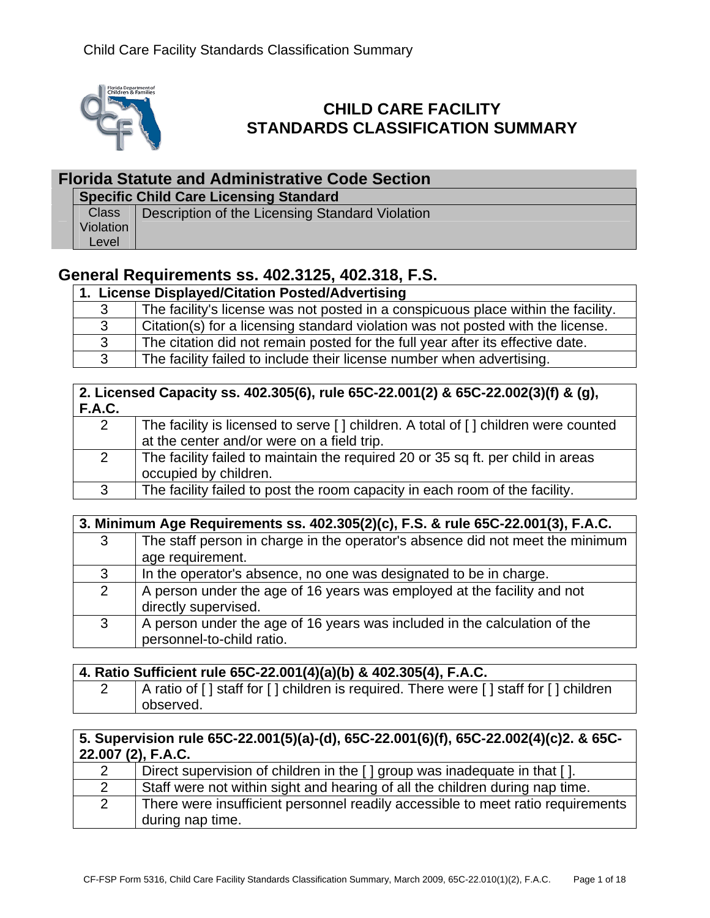

# **CHILD CARE FACILITY STANDARDS CLASSIFICATION SUMMARY**

### **Florida Statute and Administrative Code Section**

**Specific Child Care Licensing Standard** 

**Class** Violation Level Description of the Licensing Standard Violation

# **General Requirements ss. 402.3125, 402.318, F.S.**

#### **1. License Displayed/Citation Posted/Advertising**

| The facility's license was not posted in a conspicuous place within the facility. |
|-----------------------------------------------------------------------------------|
| Citation(s) for a licensing standard violation was not posted with the license.   |
|                                                                                   |
|                                                                                   |
|                                                                                   |

#### **2. Licensed Capacity ss. 402.305(6), rule 65C-22.001(2) & 65C-22.002(3)(f) & (g), F.A.C.**

|   | The facility is licensed to serve [] children. A total of [] children were counted |
|---|------------------------------------------------------------------------------------|
|   | at the center and/or were on a field trip.                                         |
|   | The facility failed to maintain the required 20 or 35 sq ft. per child in areas    |
|   | occupied by children.                                                              |
| 3 | The facility failed to post the room capacity in each room of the facility.        |

### **3. Minimum Age Requirements ss. 402.305(2)(c), F.S. & rule 65C-22.001(3), F.A.C.**

|                | .                                                                             |
|----------------|-------------------------------------------------------------------------------|
| 3              | The staff person in charge in the operator's absence did not meet the minimum |
|                | age requirement.                                                              |
| 3              | In the operator's absence, no one was designated to be in charge.             |
| $\overline{2}$ | A person under the age of 16 years was employed at the facility and not       |
|                | directly supervised.                                                          |
| 3              | A person under the age of 16 years was included in the calculation of the     |
|                | personnel-to-child ratio.                                                     |
|                |                                                                               |

#### **4. Ratio Sufficient rule 65C-22.001(4)(a)(b) & 402.305(4), F.A.C.**

2 A ratio of [] staff for [] children is required. There were [] staff for [] children observed.

### **5. Supervision rule 65C-22.001(5)(a)-(d), 65C-22.001(6)(f), 65C-22.002(4)(c)2. & 65C-22.007 (2), F.A.C.**

| Direct supervision of children in the [ ] group was inadequate in that [ ].     |
|---------------------------------------------------------------------------------|
| Staff were not within sight and hearing of all the children during nap time.    |
| There were insufficient personnel readily accessible to meet ratio requirements |
| during nap time.                                                                |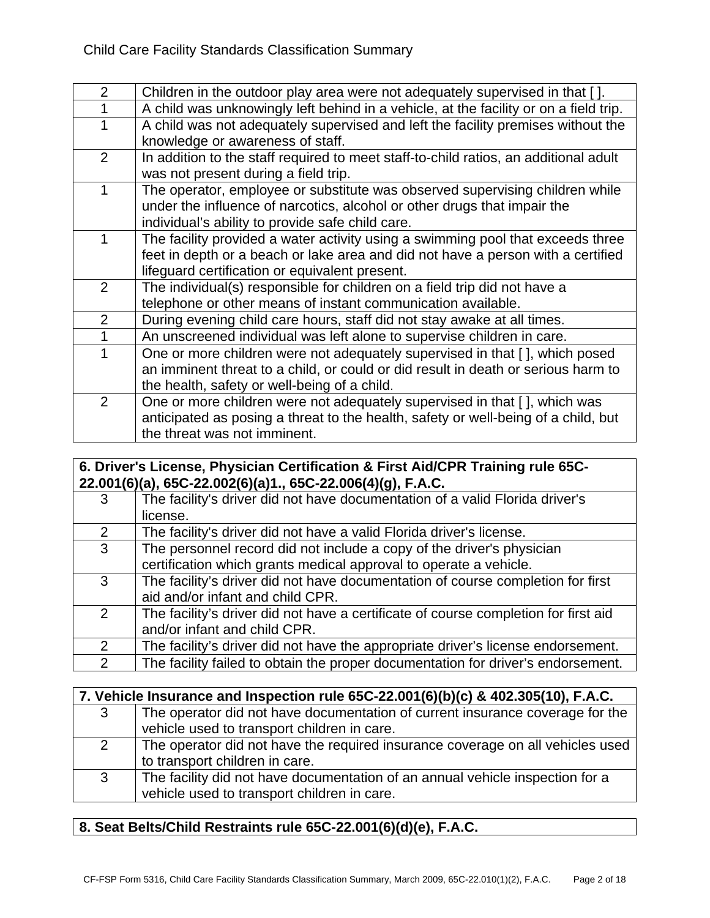| $\overline{2}$ | Children in the outdoor play area were not adequately supervised in that [].          |
|----------------|---------------------------------------------------------------------------------------|
|                | A child was unknowingly left behind in a vehicle, at the facility or on a field trip. |
| 1              | A child was not adequately supervised and left the facility premises without the      |
|                | knowledge or awareness of staff.                                                      |
| 2              | In addition to the staff required to meet staff-to-child ratios, an additional adult  |
|                | was not present during a field trip.                                                  |
| 1              | The operator, employee or substitute was observed supervising children while          |
|                | under the influence of narcotics, alcohol or other drugs that impair the              |
|                | individual's ability to provide safe child care.                                      |
| 1              | The facility provided a water activity using a swimming pool that exceeds three       |
|                | feet in depth or a beach or lake area and did not have a person with a certified      |
|                | lifeguard certification or equivalent present.                                        |
| $\overline{2}$ | The individual(s) responsible for children on a field trip did not have a             |
|                | telephone or other means of instant communication available.                          |
| $\overline{2}$ | During evening child care hours, staff did not stay awake at all times.               |
| $\mathbf{1}$   | An unscreened individual was left alone to supervise children in care.                |
| 1              | One or more children were not adequately supervised in that [], which posed           |
|                | an imminent threat to a child, or could or did result in death or serious harm to     |
|                | the health, safety or well-being of a child.                                          |
| 2              | One or more children were not adequately supervised in that [ ], which was            |
|                | anticipated as posing a threat to the health, safety or well-being of a child, but    |
|                | the threat was not imminent.                                                          |

#### **6. Driver's License, Physician Certification & First Aid/CPR Training rule 65C-22.001(6)(a), 65C-22.002(6)(a)1., 65C-22.006(4)(g), F.A.C.**

| 3              | The facility's driver did not have documentation of a valid Florida driver's        |
|----------------|-------------------------------------------------------------------------------------|
|                | license.                                                                            |
| 2              | The facility's driver did not have a valid Florida driver's license.                |
| 3 <sup>1</sup> | The personnel record did not include a copy of the driver's physician               |
|                | certification which grants medical approval to operate a vehicle.                   |
| 3              | The facility's driver did not have documentation of course completion for first     |
|                | aid and/or infant and child CPR.                                                    |
| 2              | The facility's driver did not have a certificate of course completion for first aid |
|                | and/or infant and child CPR.                                                        |
| $\mathcal{P}$  | The facility's driver did not have the appropriate driver's license endorsement.    |
| $\overline{2}$ | The facility failed to obtain the proper documentation for driver's endorsement.    |
|                |                                                                                     |

| 7. Vehicle Insurance and Inspection rule 65C-22.001(6)(b)(c) & 402.305(10), F.A.C. |                                                                                |
|------------------------------------------------------------------------------------|--------------------------------------------------------------------------------|
| 3                                                                                  | The operator did not have documentation of current insurance coverage for the  |
|                                                                                    | vehicle used to transport children in care.                                    |
| 2                                                                                  | The operator did not have the required insurance coverage on all vehicles used |
|                                                                                    | to transport children in care.                                                 |
| 3                                                                                  | The facility did not have documentation of an annual vehicle inspection for a  |
|                                                                                    | vehicle used to transport children in care.                                    |

## **8. Seat Belts/Child Restraints rule 65C-22.001(6)(d)(e), F.A.C.**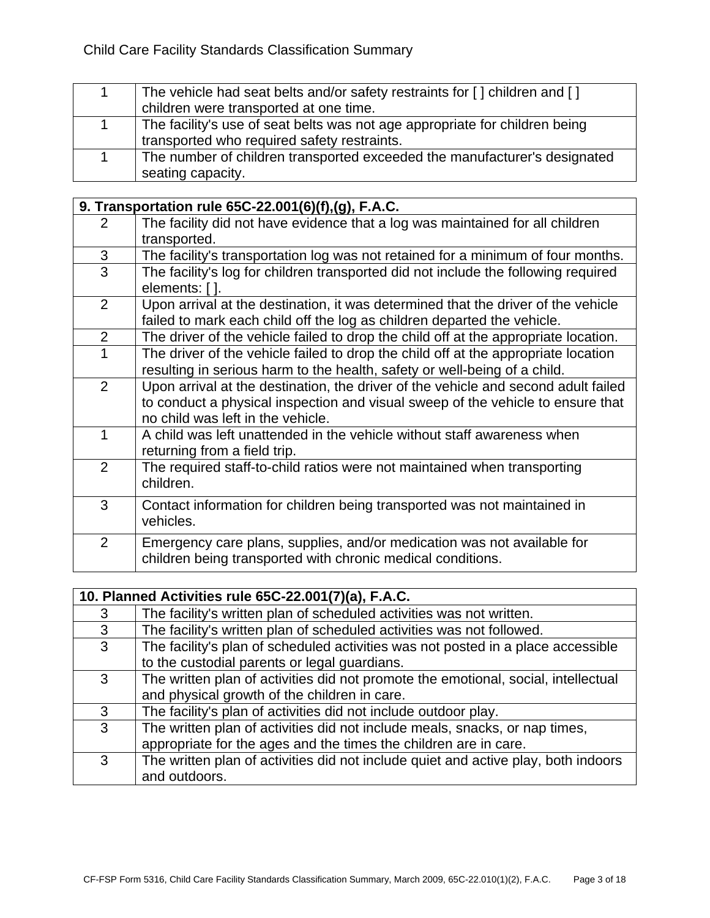| The vehicle had seat belts and/or safety restraints for [] children and []  |
|-----------------------------------------------------------------------------|
| children were transported at one time.                                      |
| The facility's use of seat belts was not age appropriate for children being |
| transported who required safety restraints.                                 |
| The number of children transported exceeded the manufacturer's designated   |
| seating capacity.                                                           |

|   | 9. Transportation rule 65C-22.001(6)(f),(g), F.A.C.                                                                                                                                                        |  |
|---|------------------------------------------------------------------------------------------------------------------------------------------------------------------------------------------------------------|--|
| 2 | The facility did not have evidence that a log was maintained for all children<br>transported.                                                                                                              |  |
| 3 | The facility's transportation log was not retained for a minimum of four months.                                                                                                                           |  |
| 3 | The facility's log for children transported did not include the following required<br>elements: [ ].                                                                                                       |  |
| 2 | Upon arrival at the destination, it was determined that the driver of the vehicle<br>failed to mark each child off the log as children departed the vehicle.                                               |  |
| 2 | The driver of the vehicle failed to drop the child off at the appropriate location.                                                                                                                        |  |
| 1 | The driver of the vehicle failed to drop the child off at the appropriate location<br>resulting in serious harm to the health, safety or well-being of a child.                                            |  |
| 2 | Upon arrival at the destination, the driver of the vehicle and second adult failed<br>to conduct a physical inspection and visual sweep of the vehicle to ensure that<br>no child was left in the vehicle. |  |
| 1 | A child was left unattended in the vehicle without staff awareness when<br>returning from a field trip.                                                                                                    |  |
| 2 | The required staff-to-child ratios were not maintained when transporting<br>children.                                                                                                                      |  |
| 3 | Contact information for children being transported was not maintained in<br>vehicles.                                                                                                                      |  |
| 2 | Emergency care plans, supplies, and/or medication was not available for<br>children being transported with chronic medical conditions.                                                                     |  |

| 10. Planned Activities rule 65C-22.001(7)(a), F.A.C. |                                                                                                                                                 |
|------------------------------------------------------|-------------------------------------------------------------------------------------------------------------------------------------------------|
| 3                                                    | The facility's written plan of scheduled activities was not written.                                                                            |
| 3                                                    | The facility's written plan of scheduled activities was not followed.                                                                           |
| 3                                                    | The facility's plan of scheduled activities was not posted in a place accessible<br>to the custodial parents or legal guardians.                |
| 3                                                    | The written plan of activities did not promote the emotional, social, intellectual<br>and physical growth of the children in care.              |
| 3                                                    | The facility's plan of activities did not include outdoor play.                                                                                 |
| 3                                                    | The written plan of activities did not include meals, snacks, or nap times,<br>appropriate for the ages and the times the children are in care. |
| 3                                                    | The written plan of activities did not include quiet and active play, both indoors<br>and outdoors.                                             |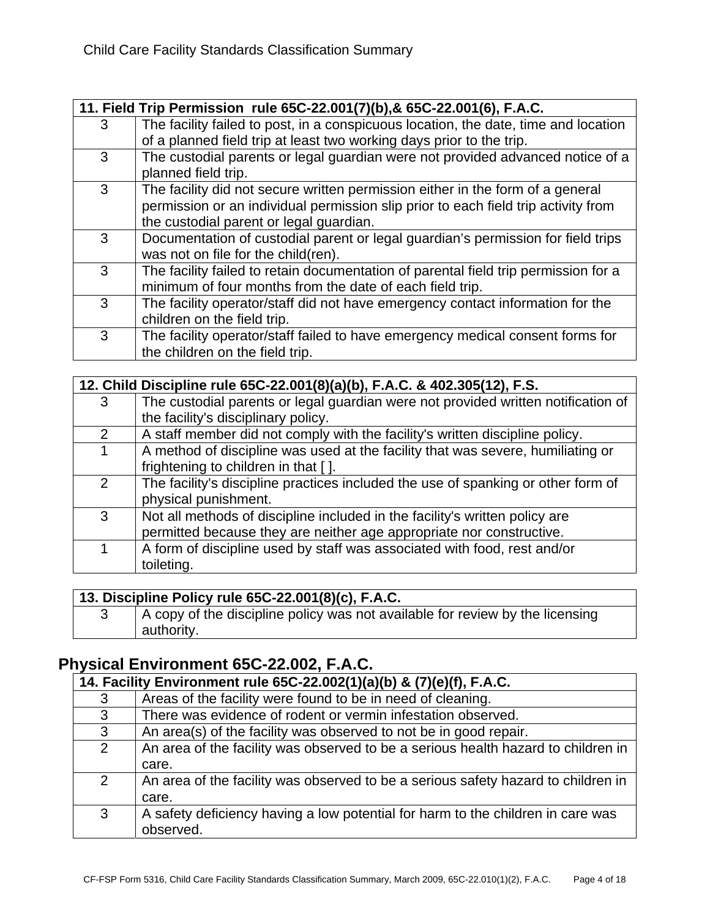|   | 11. Field Trip Permission rule 65C-22.001(7)(b), & 65C-22.001(6), F.A.C.            |
|---|-------------------------------------------------------------------------------------|
| 3 | The facility failed to post, in a conspicuous location, the date, time and location |
|   | of a planned field trip at least two working days prior to the trip.                |
| 3 | The custodial parents or legal guardian were not provided advanced notice of a      |
|   | planned field trip.                                                                 |
| 3 | The facility did not secure written permission either in the form of a general      |
|   | permission or an individual permission slip prior to each field trip activity from  |
|   | the custodial parent or legal guardian.                                             |
| 3 | Documentation of custodial parent or legal guardian's permission for field trips    |
|   | was not on file for the child(ren).                                                 |
| 3 | The facility failed to retain documentation of parental field trip permission for a |
|   | minimum of four months from the date of each field trip.                            |
| 3 | The facility operator/staff did not have emergency contact information for the      |
|   | children on the field trip.                                                         |
| 3 | The facility operator/staff failed to have emergency medical consent forms for      |
|   | the children on the field trip.                                                     |

|               | 12. Child Discipline rule 65C-22.001(8)(a)(b), F.A.C. & 402.305(12), F.S.         |  |
|---------------|-----------------------------------------------------------------------------------|--|
| 3             | The custodial parents or legal guardian were not provided written notification of |  |
|               | the facility's disciplinary policy.                                               |  |
| 2             | A staff member did not comply with the facility's written discipline policy.      |  |
| 1             | A method of discipline was used at the facility that was severe, humiliating or   |  |
|               | frightening to children in that [].                                               |  |
| $\mathcal{P}$ | The facility's discipline practices included the use of spanking or other form of |  |
|               | physical punishment.                                                              |  |
| 3             | Not all methods of discipline included in the facility's written policy are       |  |
|               | permitted because they are neither age appropriate nor constructive.              |  |
| 1             | A form of discipline used by staff was associated with food, rest and/or          |  |
|               | toileting.                                                                        |  |

## **13. Discipline Policy rule 65C-22.001(8)(c), F.A.C.**

| A copy of the discipline policy was not available for review by the licensing |
|-------------------------------------------------------------------------------|
| authority.                                                                    |

# **Physical Environment 65C-22.002, F.A.C.**

| 14. Facility Environment rule 65C-22.002(1)(a)(b) & (7)(e)(f), F.A.C. |                                                                                   |
|-----------------------------------------------------------------------|-----------------------------------------------------------------------------------|
| 3                                                                     | Areas of the facility were found to be in need of cleaning.                       |
| 3                                                                     | There was evidence of rodent or vermin infestation observed.                      |
| 3                                                                     | An area(s) of the facility was observed to not be in good repair.                 |
| 2                                                                     | An area of the facility was observed to be a serious health hazard to children in |
|                                                                       | care.                                                                             |
| 2                                                                     | An area of the facility was observed to be a serious safety hazard to children in |
|                                                                       | care.                                                                             |
| 3                                                                     | A safety deficiency having a low potential for harm to the children in care was   |
|                                                                       | observed.                                                                         |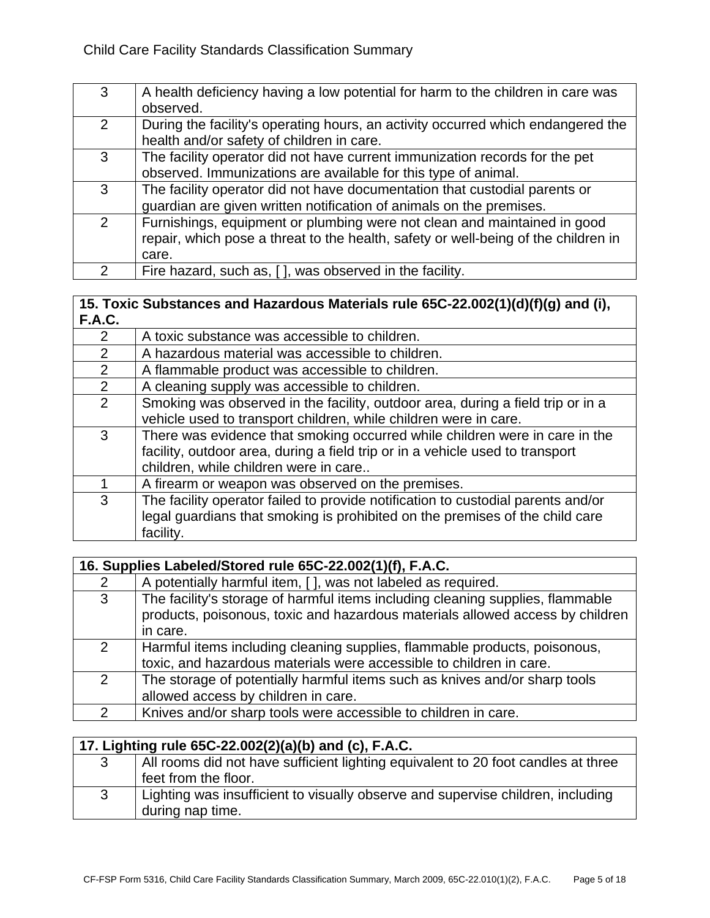| 3             | A health deficiency having a low potential for harm to the children in care was<br>observed. |
|---------------|----------------------------------------------------------------------------------------------|
|               |                                                                                              |
| 2             | During the facility's operating hours, an activity occurred which endangered the             |
|               | health and/or safety of children in care.                                                    |
| 3             | The facility operator did not have current immunization records for the pet                  |
|               | observed. Immunizations are available for this type of animal.                               |
| 3             | The facility operator did not have documentation that custodial parents or                   |
|               | guardian are given written notification of animals on the premises.                          |
| $\mathcal{P}$ | Furnishings, equipment or plumbing were not clean and maintained in good                     |
|               | repair, which pose a threat to the health, safety or well-being of the children in           |
|               | care.                                                                                        |
| $\mathcal{P}$ | Fire hazard, such as, [ ], was observed in the facility.                                     |

#### **15. Toxic Substances and Hazardous Materials rule 65C-22.002(1)(d)(f)(g) and (i), F.A.C.**

| 2<br>A toxic substance was accessible to children.<br>A hazardous material was accessible to children.<br>2<br>2<br>A flammable product was accessible to children.<br>A cleaning supply was accessible to children.<br>$\mathcal{P}$<br>2<br>Smoking was observed in the facility, outdoor area, during a field trip or in a<br>vehicle used to transport children, while children were in care.<br>There was evidence that smoking occurred while children were in care in the<br>3<br>facility, outdoor area, during a field trip or in a vehicle used to transport<br>children, while children were in care<br>A firearm or weapon was observed on the premises.<br>The facility operator failed to provide notification to custodial parents and/or<br>3<br>legal guardians that smoking is prohibited on the premises of the child care | . |           |
|-----------------------------------------------------------------------------------------------------------------------------------------------------------------------------------------------------------------------------------------------------------------------------------------------------------------------------------------------------------------------------------------------------------------------------------------------------------------------------------------------------------------------------------------------------------------------------------------------------------------------------------------------------------------------------------------------------------------------------------------------------------------------------------------------------------------------------------------------|---|-----------|
|                                                                                                                                                                                                                                                                                                                                                                                                                                                                                                                                                                                                                                                                                                                                                                                                                                               |   |           |
|                                                                                                                                                                                                                                                                                                                                                                                                                                                                                                                                                                                                                                                                                                                                                                                                                                               |   |           |
|                                                                                                                                                                                                                                                                                                                                                                                                                                                                                                                                                                                                                                                                                                                                                                                                                                               |   |           |
|                                                                                                                                                                                                                                                                                                                                                                                                                                                                                                                                                                                                                                                                                                                                                                                                                                               |   |           |
|                                                                                                                                                                                                                                                                                                                                                                                                                                                                                                                                                                                                                                                                                                                                                                                                                                               |   |           |
|                                                                                                                                                                                                                                                                                                                                                                                                                                                                                                                                                                                                                                                                                                                                                                                                                                               |   |           |
|                                                                                                                                                                                                                                                                                                                                                                                                                                                                                                                                                                                                                                                                                                                                                                                                                                               |   |           |
|                                                                                                                                                                                                                                                                                                                                                                                                                                                                                                                                                                                                                                                                                                                                                                                                                                               |   |           |
|                                                                                                                                                                                                                                                                                                                                                                                                                                                                                                                                                                                                                                                                                                                                                                                                                                               |   |           |
|                                                                                                                                                                                                                                                                                                                                                                                                                                                                                                                                                                                                                                                                                                                                                                                                                                               |   |           |
|                                                                                                                                                                                                                                                                                                                                                                                                                                                                                                                                                                                                                                                                                                                                                                                                                                               |   |           |
|                                                                                                                                                                                                                                                                                                                                                                                                                                                                                                                                                                                                                                                                                                                                                                                                                                               |   |           |
|                                                                                                                                                                                                                                                                                                                                                                                                                                                                                                                                                                                                                                                                                                                                                                                                                                               |   | facility. |

|   | 16. Supplies Labeled/Stored rule 65C-22.002(1)(f), F.A.C.                                                                                                                   |  |
|---|-----------------------------------------------------------------------------------------------------------------------------------------------------------------------------|--|
| 2 | A potentially harmful item, [ ], was not labeled as required.                                                                                                               |  |
| 3 | The facility's storage of harmful items including cleaning supplies, flammable<br>products, poisonous, toxic and hazardous materials allowed access by children<br>in care. |  |
| 2 | Harmful items including cleaning supplies, flammable products, poisonous,<br>toxic, and hazardous materials were accessible to children in care.                            |  |
| 2 | The storage of potentially harmful items such as knives and/or sharp tools<br>allowed access by children in care.                                                           |  |
| 2 | Knives and/or sharp tools were accessible to children in care.                                                                                                              |  |

|   | 17. Lighting rule 65C-22.002(2)(a)(b) and (c), F.A.C.                                               |  |
|---|-----------------------------------------------------------------------------------------------------|--|
| 3 | All rooms did not have sufficient lighting equivalent to 20 foot candles at three                   |  |
|   | feet from the floor.                                                                                |  |
| 3 | Lighting was insufficient to visually observe and supervise children, including<br>during nap time. |  |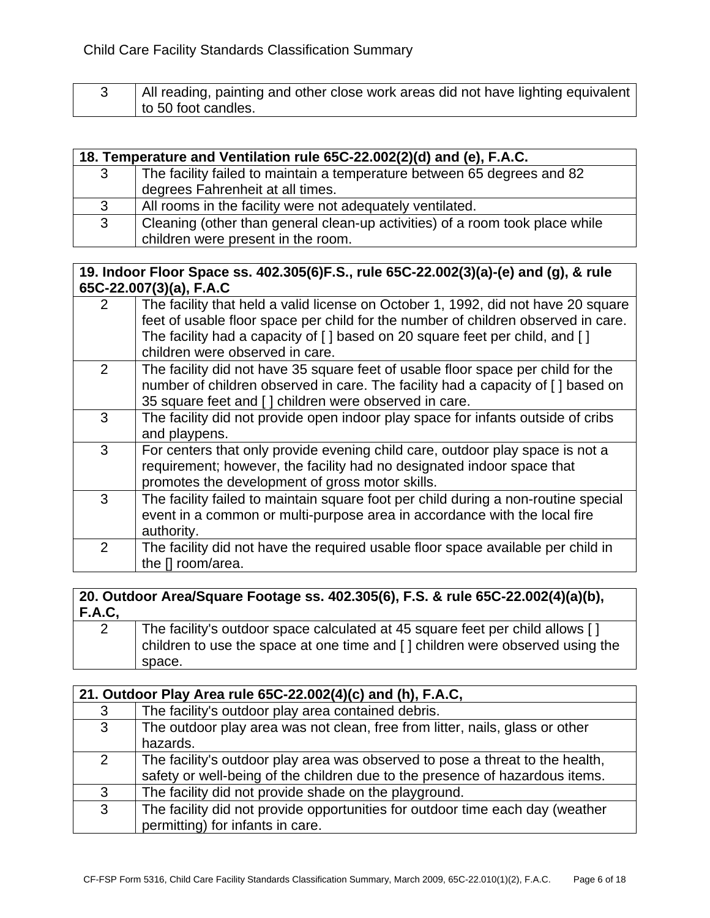| All reading, painting and other close work areas did not have lighting equivalent |
|-----------------------------------------------------------------------------------|
| to 50 foot candles.                                                               |

| 18. Temperature and Ventilation rule 65C-22.002(2)(d) and (e), F.A.C. |                                                                              |
|-----------------------------------------------------------------------|------------------------------------------------------------------------------|
| 3                                                                     | The facility failed to maintain a temperature between 65 degrees and 82      |
|                                                                       | degrees Fahrenheit at all times.                                             |
| 3                                                                     | All rooms in the facility were not adequately ventilated.                    |
| 3                                                                     | Cleaning (other than general clean-up activities) of a room took place while |
|                                                                       | children were present in the room.                                           |

#### **19. Indoor Floor Space ss. 402.305(6)F.S., rule 65C-22.002(3)(a)-(e) and (g), & rule 65C-22.007(3)(a), F.A.C**

| 2             | The facility that held a valid license on October 1, 1992, did not have 20 square<br>feet of usable floor space per child for the number of children observed in care.<br>The facility had a capacity of [ ] based on 20 square feet per child, and [ ]<br>children were observed in care. |
|---------------|--------------------------------------------------------------------------------------------------------------------------------------------------------------------------------------------------------------------------------------------------------------------------------------------|
| 2             | The facility did not have 35 square feet of usable floor space per child for the<br>number of children observed in care. The facility had a capacity of [] based on<br>35 square feet and [] children were observed in care.                                                               |
| 3             | The facility did not provide open indoor play space for infants outside of cribs<br>and playpens.                                                                                                                                                                                          |
| 3             | For centers that only provide evening child care, outdoor play space is not a<br>requirement; however, the facility had no designated indoor space that<br>promotes the development of gross motor skills.                                                                                 |
| 3             | The facility failed to maintain square foot per child during a non-routine special<br>event in a common or multi-purpose area in accordance with the local fire<br>authority.                                                                                                              |
| $\mathcal{P}$ | The facility did not have the required usable floor space available per child in<br>the [] room/area.                                                                                                                                                                                      |

## **20. Outdoor Area/Square Footage ss. 402.305(6), F.S. & rule 65C-22.002(4)(a)(b), F.A.C,**

| The facility's outdoor space calculated at 45 square feet per child allows []<br>children to use the space at one time and $\lceil$ children were observed using the |
|----------------------------------------------------------------------------------------------------------------------------------------------------------------------|
| space.                                                                                                                                                               |

| 21. Outdoor Play Area rule 65C-22.002(4)(c) and (h), F.A.C, |                                                                                                                                                               |
|-------------------------------------------------------------|---------------------------------------------------------------------------------------------------------------------------------------------------------------|
| 3                                                           | The facility's outdoor play area contained debris.                                                                                                            |
| $\mathbf{3}$                                                | The outdoor play area was not clean, free from litter, nails, glass or other<br>hazards.                                                                      |
| 2                                                           | The facility's outdoor play area was observed to pose a threat to the health,<br>safety or well-being of the children due to the presence of hazardous items. |
| 3                                                           | The facility did not provide shade on the playground.                                                                                                         |
| 3                                                           | The facility did not provide opportunities for outdoor time each day (weather<br>permitting) for infants in care.                                             |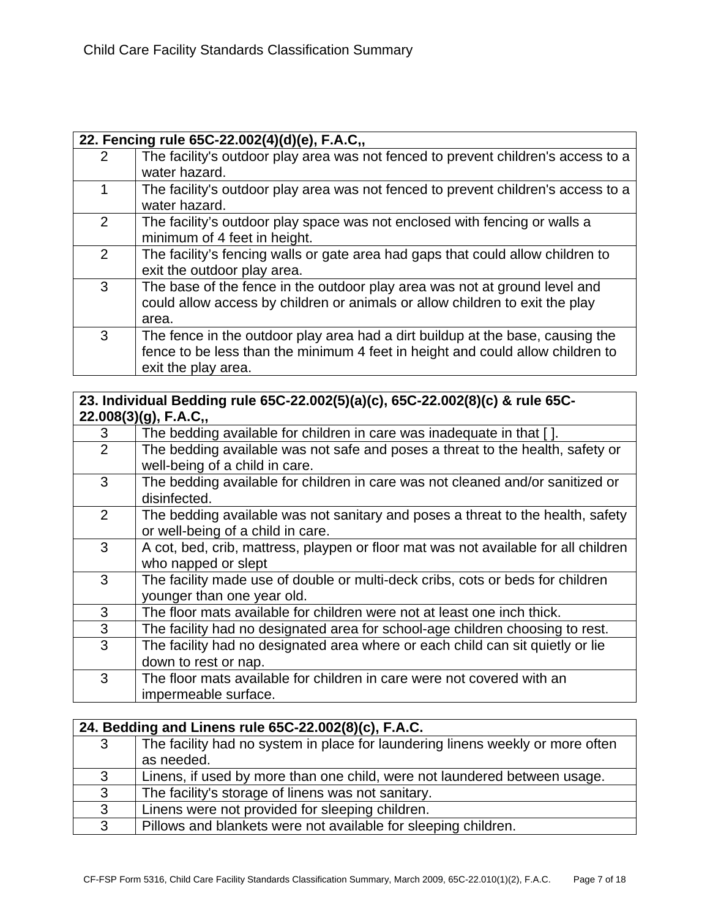|               | 22. Fencing rule 65C-22.002(4)(d)(e), F.A.C,,                                     |  |
|---------------|-----------------------------------------------------------------------------------|--|
| $\mathcal{P}$ | The facility's outdoor play area was not fenced to prevent children's access to a |  |
|               | water hazard.                                                                     |  |
| 1             | The facility's outdoor play area was not fenced to prevent children's access to a |  |
|               | water hazard.                                                                     |  |
| 2             | The facility's outdoor play space was not enclosed with fencing or walls a        |  |
|               | minimum of 4 feet in height.                                                      |  |
| 2             | The facility's fencing walls or gate area had gaps that could allow children to   |  |
|               | exit the outdoor play area.                                                       |  |
| 3             | The base of the fence in the outdoor play area was not at ground level and        |  |
|               | could allow access by children or animals or allow children to exit the play      |  |
|               | area.                                                                             |  |
| 3             | The fence in the outdoor play area had a dirt buildup at the base, causing the    |  |
|               | fence to be less than the minimum 4 feet in height and could allow children to    |  |
|               | exit the play area.                                                               |  |

### **23. Individual Bedding rule 65C-22.002(5)(a)(c), 65C-22.002(8)(c) & rule 65C-22.008(3)(g), F.A.C,,**

| 3              | The bedding available for children in care was inadequate in that [].               |
|----------------|-------------------------------------------------------------------------------------|
| $\overline{2}$ | The bedding available was not safe and poses a threat to the health, safety or      |
|                | well-being of a child in care.                                                      |
| 3              | The bedding available for children in care was not cleaned and/or sanitized or      |
|                | disinfected.                                                                        |
| $\overline{2}$ | The bedding available was not sanitary and poses a threat to the health, safety     |
|                | or well-being of a child in care.                                                   |
| 3              | A cot, bed, crib, mattress, playpen or floor mat was not available for all children |
|                | who napped or slept                                                                 |
| 3              | The facility made use of double or multi-deck cribs, cots or beds for children      |
|                | younger than one year old.                                                          |
| 3              | The floor mats available for children were not at least one inch thick.             |
| 3              | The facility had no designated area for school-age children choosing to rest.       |
| 3              | The facility had no designated area where or each child can sit quietly or lie      |
|                | down to rest or nap.                                                                |
| 3              | The floor mats available for children in care were not covered with an              |
|                | impermeable surface.                                                                |

|   | 24. Bedding and Linens rule 65C-22.002(8)(c), F.A.C.                                         |  |
|---|----------------------------------------------------------------------------------------------|--|
| 3 | The facility had no system in place for laundering linens weekly or more often<br>as needed. |  |
| 3 | Linens, if used by more than one child, were not laundered between usage.                    |  |
| 3 | The facility's storage of linens was not sanitary.                                           |  |
| 3 | Linens were not provided for sleeping children.                                              |  |
| 3 | Pillows and blankets were not available for sleeping children.                               |  |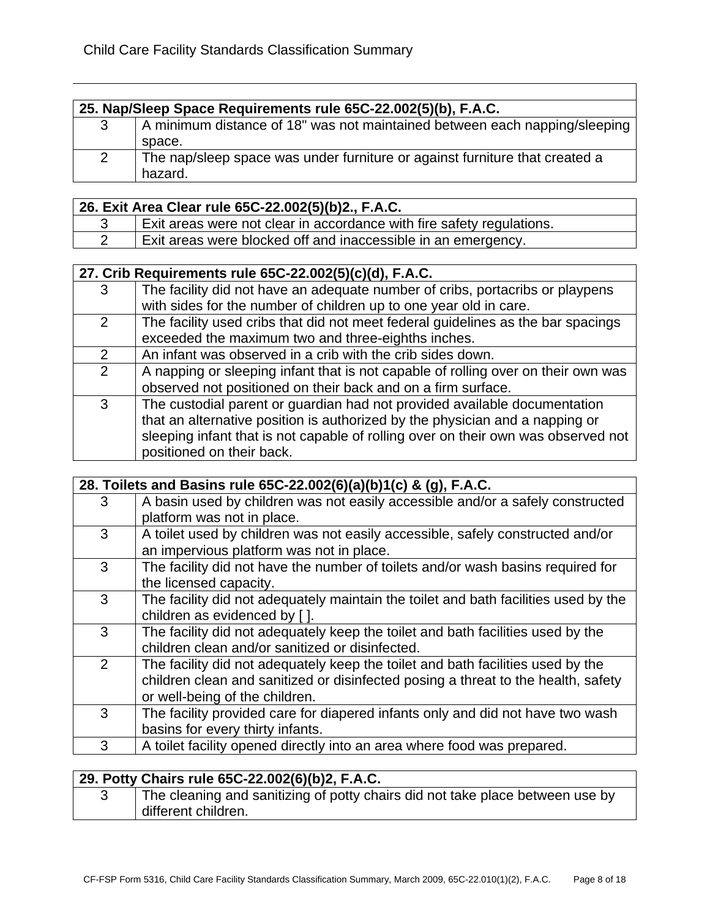|   | 25. Nap/Sleep Space Requirements rule 65C-22.002(5)(b), F.A.C.                         |  |
|---|----------------------------------------------------------------------------------------|--|
|   | A minimum distance of 18" was not maintained between each napping/sleeping             |  |
|   | space.                                                                                 |  |
| 2 | The nap/sleep space was under furniture or against furniture that created a<br>hazard. |  |

|  | 26. Exit Area Clear rule 65C-22.002(5)(b)2., F.A.C.                   |
|--|-----------------------------------------------------------------------|
|  | Exit areas were not clear in accordance with fire safety regulations. |
|  | Exit areas were blocked off and inaccessible in an emergency.         |

|               | 27. Crib Requirements rule 65C-22.002(5)(c)(d), F.A.C.                            |  |
|---------------|-----------------------------------------------------------------------------------|--|
| 3             | The facility did not have an adequate number of cribs, portacribs or playpens     |  |
|               | with sides for the number of children up to one year old in care.                 |  |
| 2             | The facility used cribs that did not meet federal guidelines as the bar spacings  |  |
|               | exceeded the maximum two and three-eighths inches.                                |  |
| $\mathcal{P}$ | An infant was observed in a crib with the crib sides down.                        |  |
| $\mathcal{P}$ | A napping or sleeping infant that is not capable of rolling over on their own was |  |
|               | observed not positioned on their back and on a firm surface.                      |  |
| 3             | The custodial parent or guardian had not provided available documentation         |  |
|               | that an alternative position is authorized by the physician and a napping or      |  |
|               | sleeping infant that is not capable of rolling over on their own was observed not |  |
|               | positioned on their back.                                                         |  |

| 28. Toilets and Basins rule 65C-22.002(6)(a)(b)1(c) & (g), F.A.C. |                                                                                     |
|-------------------------------------------------------------------|-------------------------------------------------------------------------------------|
| 3                                                                 | A basin used by children was not easily accessible and/or a safely constructed      |
|                                                                   | platform was not in place.                                                          |
| 3                                                                 | A toilet used by children was not easily accessible, safely constructed and/or      |
|                                                                   | an impervious platform was not in place.                                            |
| 3                                                                 | The facility did not have the number of toilets and/or wash basins required for     |
|                                                                   | the licensed capacity.                                                              |
| 3                                                                 | The facility did not adequately maintain the toilet and bath facilities used by the |
|                                                                   | children as evidenced by [].                                                        |
| 3                                                                 | The facility did not adequately keep the toilet and bath facilities used by the     |
|                                                                   | children clean and/or sanitized or disinfected.                                     |
| 2                                                                 | The facility did not adequately keep the toilet and bath facilities used by the     |
|                                                                   | children clean and sanitized or disinfected posing a threat to the health, safety   |
|                                                                   | or well-being of the children.                                                      |
| 3                                                                 | The facility provided care for diapered infants only and did not have two wash      |
|                                                                   | basins for every thirty infants.                                                    |
| 3                                                                 | A toilet facility opened directly into an area where food was prepared.             |

|  | 29. Potty Chairs rule 65C-22.002(6)(b)2, F.A.C.                               |
|--|-------------------------------------------------------------------------------|
|  | The cleaning and sanitizing of potty chairs did not take place between use by |
|  | different children.                                                           |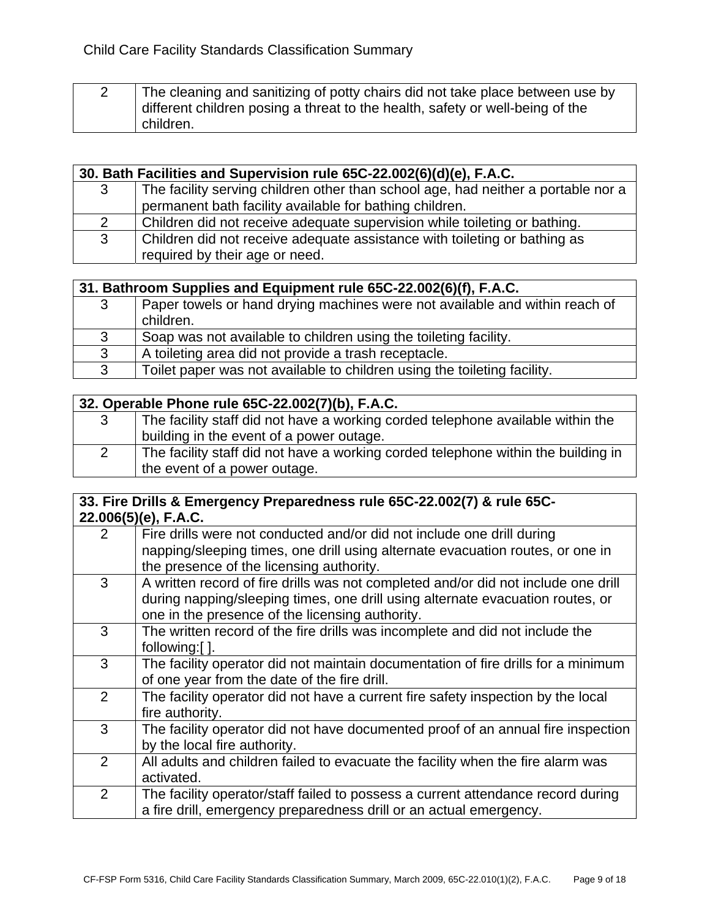| The cleaning and sanitizing of potty chairs did not take place between use by |
|-------------------------------------------------------------------------------|
| different children posing a threat to the health, safety or well-being of the |
| children.                                                                     |

|   | 30. Bath Facilities and Supervision rule 65C-22.002(6)(d)(e), F.A.C.                                        |  |
|---|-------------------------------------------------------------------------------------------------------------|--|
| 3 | The facility serving children other than school age, had neither a portable nor a                           |  |
|   | permanent bath facility available for bathing children.                                                     |  |
| 2 | Children did not receive adequate supervision while toileting or bathing.                                   |  |
| 3 | Children did not receive adequate assistance with toileting or bathing as<br>required by their age or need. |  |

|   | 31. Bathroom Supplies and Equipment rule 65C-22.002(6)(f), F.A.C.                        |  |
|---|------------------------------------------------------------------------------------------|--|
| 3 | Paper towels or hand drying machines were not available and within reach of<br>children. |  |
| 3 | Soap was not available to children using the toileting facility.                         |  |
| 3 | A toileting area did not provide a trash receptacle.                                     |  |
| 3 | Toilet paper was not available to children using the toileting facility.                 |  |
|   |                                                                                          |  |

|   | 32. Operable Phone rule 65C-22.002(7)(b), F.A.C.                                  |  |
|---|-----------------------------------------------------------------------------------|--|
| 3 | The facility staff did not have a working corded telephone available within the   |  |
|   | building in the event of a power outage.                                          |  |
|   | The facility staff did not have a working corded telephone within the building in |  |
|   | the event of a power outage.                                                      |  |

#### **33. Fire Drills & Emergency Preparedness rule 65C-22.002(7) & rule 65C-22.006(5)(e), F.A.C.**

| $\overline{2}$ | Fire drills were not conducted and/or did not include one drill during<br>napping/sleeping times, one drill using alternate evacuation routes, or one in                                                                |
|----------------|-------------------------------------------------------------------------------------------------------------------------------------------------------------------------------------------------------------------------|
|                | the presence of the licensing authority.                                                                                                                                                                                |
| 3              | A written record of fire drills was not completed and/or did not include one drill<br>during napping/sleeping times, one drill using alternate evacuation routes, or<br>one in the presence of the licensing authority. |
| 3              | The written record of the fire drills was incomplete and did not include the<br>following:[].                                                                                                                           |
| 3              | The facility operator did not maintain documentation of fire drills for a minimum<br>of one year from the date of the fire drill.                                                                                       |
| 2              | The facility operator did not have a current fire safety inspection by the local<br>fire authority.                                                                                                                     |
| 3              | The facility operator did not have documented proof of an annual fire inspection<br>by the local fire authority.                                                                                                        |
| $\overline{2}$ | All adults and children failed to evacuate the facility when the fire alarm was<br>activated.                                                                                                                           |
| 2              | The facility operator/staff failed to possess a current attendance record during<br>a fire drill, emergency preparedness drill or an actual emergency.                                                                  |
|                |                                                                                                                                                                                                                         |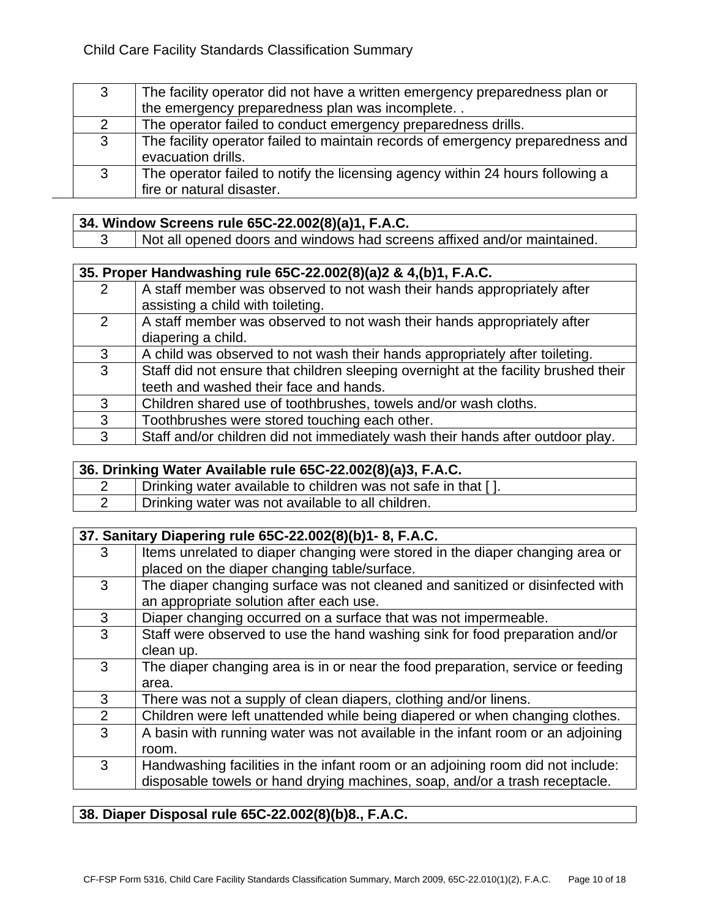| 3              | The facility operator did not have a written emergency preparedness plan or    |
|----------------|--------------------------------------------------------------------------------|
|                | the emergency preparedness plan was incomplete                                 |
| $\overline{2}$ | The operator failed to conduct emergency preparedness drills.                  |
| 3              | The facility operator failed to maintain records of emergency preparedness and |
|                | evacuation drills.                                                             |
| 3              | The operator failed to notify the licensing agency within 24 hours following a |
|                | fire or natural disaster.                                                      |

#### **34. Window Screens rule 65C-22.002(8)(a)1, F.A.C.**

3 Not all opened doors and windows had screens affixed and/or maintained.

|               | 35. Proper Handwashing rule 65C-22.002(8)(a)2 & 4,(b)1, F.A.C.                      |  |
|---------------|-------------------------------------------------------------------------------------|--|
| $\mathcal{P}$ | A staff member was observed to not wash their hands appropriately after             |  |
|               | assisting a child with toileting.                                                   |  |
| 2             | A staff member was observed to not wash their hands appropriately after             |  |
|               | diapering a child.                                                                  |  |
| 3             | A child was observed to not wash their hands appropriately after toileting.         |  |
| 3             | Staff did not ensure that children sleeping overnight at the facility brushed their |  |
|               | teeth and washed their face and hands.                                              |  |
| 3             | Children shared use of toothbrushes, towels and/or wash cloths.                     |  |
| 3             | Toothbrushes were stored touching each other.                                       |  |
| 3             | Staff and/or children did not immediately wash their hands after outdoor play.      |  |

| 36. Drinking Water Available rule 65C-22.002(8)(a)3, F.A.C. |                                                               |
|-------------------------------------------------------------|---------------------------------------------------------------|
|                                                             | Drinking water available to children was not safe in that []. |
|                                                             | Drinking water was not available to all children.             |
|                                                             |                                                               |

|   | 37. Sanitary Diapering rule 65C-22.002(8)(b)1-8, F.A.C.                                                                                                        |  |
|---|----------------------------------------------------------------------------------------------------------------------------------------------------------------|--|
| 3 | Items unrelated to diaper changing were stored in the diaper changing area or<br>placed on the diaper changing table/surface.                                  |  |
| 3 | The diaper changing surface was not cleaned and sanitized or disinfected with<br>an appropriate solution after each use.                                       |  |
| 3 | Diaper changing occurred on a surface that was not impermeable.                                                                                                |  |
| 3 | Staff were observed to use the hand washing sink for food preparation and/or<br>clean up.                                                                      |  |
| 3 | The diaper changing area is in or near the food preparation, service or feeding<br>area.                                                                       |  |
| 3 | There was not a supply of clean diapers, clothing and/or linens.                                                                                               |  |
| 2 | Children were left unattended while being diapered or when changing clothes.                                                                                   |  |
| 3 | A basin with running water was not available in the infant room or an adjoining<br>room.                                                                       |  |
| 3 | Handwashing facilities in the infant room or an adjoining room did not include:<br>disposable towels or hand drying machines, soap, and/or a trash receptacle. |  |

## **38. Diaper Disposal rule 65C-22.002(8)(b)8., F.A.C.**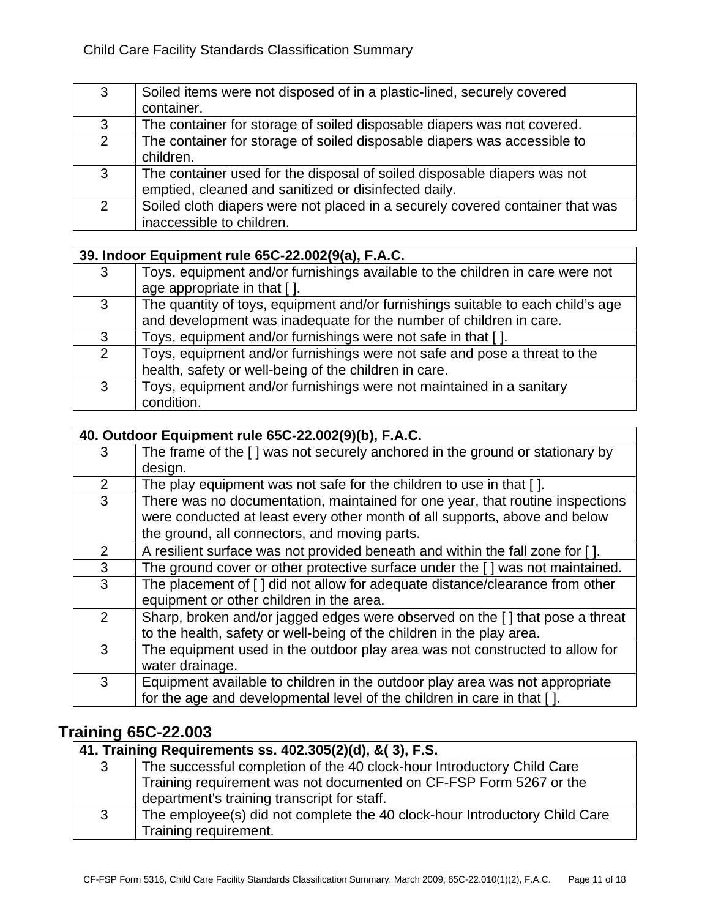| 3              | Soiled items were not disposed of in a plastic-lined, securely covered<br>container.                                             |
|----------------|----------------------------------------------------------------------------------------------------------------------------------|
| 3              | The container for storage of soiled disposable diapers was not covered.                                                          |
| $\overline{2}$ | The container for storage of soiled disposable diapers was accessible to<br>children.                                            |
| 3              | The container used for the disposal of soiled disposable diapers was not<br>emptied, cleaned and sanitized or disinfected daily. |
| $\overline{2}$ | Soiled cloth diapers were not placed in a securely covered container that was<br>inaccessible to children.                       |

|   | 39. Indoor Equipment rule 65C-22.002(9(a), F.A.C.                                                             |  |
|---|---------------------------------------------------------------------------------------------------------------|--|
| 3 | Toys, equipment and/or furnishings available to the children in care were not<br>age appropriate in that [ ]. |  |
|   |                                                                                                               |  |
| 3 | The quantity of toys, equipment and/or furnishings suitable to each child's age                               |  |
|   | and development was inadequate for the number of children in care.                                            |  |
| 3 | Toys, equipment and/or furnishings were not safe in that [].                                                  |  |
| 2 | Toys, equipment and/or furnishings were not safe and pose a threat to the                                     |  |
|   | health, safety or well-being of the children in care.                                                         |  |
| 3 | Toys, equipment and/or furnishings were not maintained in a sanitary                                          |  |
|   | condition.                                                                                                    |  |

|                | 40. Outdoor Equipment rule 65C-22.002(9)(b), F.A.C.                           |  |
|----------------|-------------------------------------------------------------------------------|--|
| 3              | The frame of the [] was not securely anchored in the ground or stationary by  |  |
|                | design.                                                                       |  |
| 2              | The play equipment was not safe for the children to use in that [].           |  |
| 3              | There was no documentation, maintained for one year, that routine inspections |  |
|                | were conducted at least every other month of all supports, above and below    |  |
|                | the ground, all connectors, and moving parts.                                 |  |
| $\overline{2}$ | A resilient surface was not provided beneath and within the fall zone for []. |  |
| 3              | The ground cover or other protective surface under the [] was not maintained. |  |
| 3              | The placement of [ ] did not allow for adequate distance/clearance from other |  |
|                | equipment or other children in the area.                                      |  |
| 2              | Sharp, broken and/or jagged edges were observed on the [] that pose a threat  |  |
|                | to the health, safety or well-being of the children in the play area.         |  |
| 3              | The equipment used in the outdoor play area was not constructed to allow for  |  |
|                | water drainage.                                                               |  |
| 3              | Equipment available to children in the outdoor play area was not appropriate  |  |
|                | for the age and developmental level of the children in care in that [].       |  |

# **Training 65C-22.003**

|   | 41. Training Requirements ss. 402.305(2)(d), & (3), F.S.                                            |  |
|---|-----------------------------------------------------------------------------------------------------|--|
| 3 | The successful completion of the 40 clock-hour Introductory Child Care                              |  |
|   | Training requirement was not documented on CF-FSP Form 5267 or the                                  |  |
|   | department's training transcript for staff.                                                         |  |
| 3 | The employee(s) did not complete the 40 clock-hour Introductory Child Care<br>Training requirement. |  |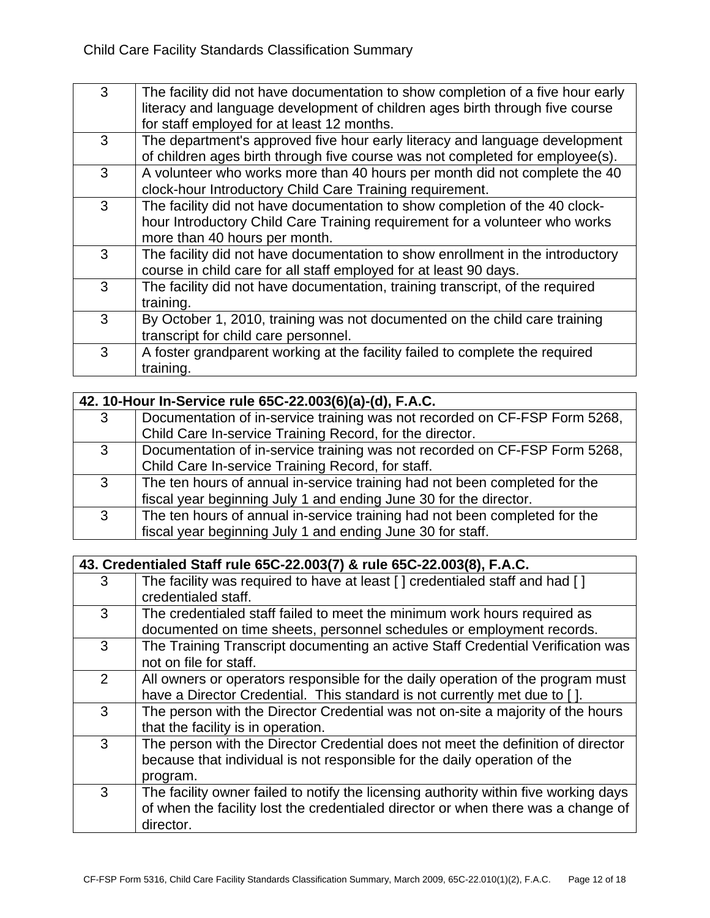| 3 | The facility did not have documentation to show completion of a five hour early<br>literacy and language development of children ages birth through five course<br>for staff employed for at least 12 months. |
|---|---------------------------------------------------------------------------------------------------------------------------------------------------------------------------------------------------------------|
| 3 | The department's approved five hour early literacy and language development<br>of children ages birth through five course was not completed for employee(s).                                                  |
| 3 | A volunteer who works more than 40 hours per month did not complete the 40<br>clock-hour Introductory Child Care Training requirement.                                                                        |
| 3 | The facility did not have documentation to show completion of the 40 clock-<br>hour Introductory Child Care Training requirement for a volunteer who works<br>more than 40 hours per month.                   |
| 3 | The facility did not have documentation to show enrollment in the introductory<br>course in child care for all staff employed for at least 90 days.                                                           |
| 3 | The facility did not have documentation, training transcript, of the required<br>training.                                                                                                                    |
| 3 | By October 1, 2010, training was not documented on the child care training<br>transcript for child care personnel.                                                                                            |
| 3 | A foster grandparent working at the facility failed to complete the required<br>training.                                                                                                                     |

|              | 42. 10-Hour In-Service rule 65C-22.003(6)(a)-(d), F.A.C.                   |  |
|--------------|----------------------------------------------------------------------------|--|
| 3            | Documentation of in-service training was not recorded on CF-FSP Form 5268, |  |
|              | Child Care In-service Training Record, for the director.                   |  |
| 3            | Documentation of in-service training was not recorded on CF-FSP Form 5268, |  |
|              | Child Care In-service Training Record, for staff.                          |  |
| $\mathbf{3}$ | The ten hours of annual in-service training had not been completed for the |  |
|              | fiscal year beginning July 1 and ending June 30 for the director.          |  |
| $\mathbf{3}$ | The ten hours of annual in-service training had not been completed for the |  |
|              | fiscal year beginning July 1 and ending June 30 for staff.                 |  |

|               | 43. Credentialed Staff rule 65C-22.003(7) & rule 65C-22.003(8), F.A.C.                                                                                                                 |  |
|---------------|----------------------------------------------------------------------------------------------------------------------------------------------------------------------------------------|--|
| 3             | The facility was required to have at least [] credentialed staff and had []<br>credentialed staff.                                                                                     |  |
| 3             | The credentialed staff failed to meet the minimum work hours required as<br>documented on time sheets, personnel schedules or employment records.                                      |  |
| 3             | The Training Transcript documenting an active Staff Credential Verification was<br>not on file for staff.                                                                              |  |
| $\mathcal{P}$ | All owners or operators responsible for the daily operation of the program must<br>have a Director Credential. This standard is not currently met due to [].                           |  |
| 3             | The person with the Director Credential was not on-site a majority of the hours<br>that the facility is in operation.                                                                  |  |
| 3             | The person with the Director Credential does not meet the definition of director<br>because that individual is not responsible for the daily operation of the<br>program.              |  |
| 3             | The facility owner failed to notify the licensing authority within five working days<br>of when the facility lost the credentialed director or when there was a change of<br>director. |  |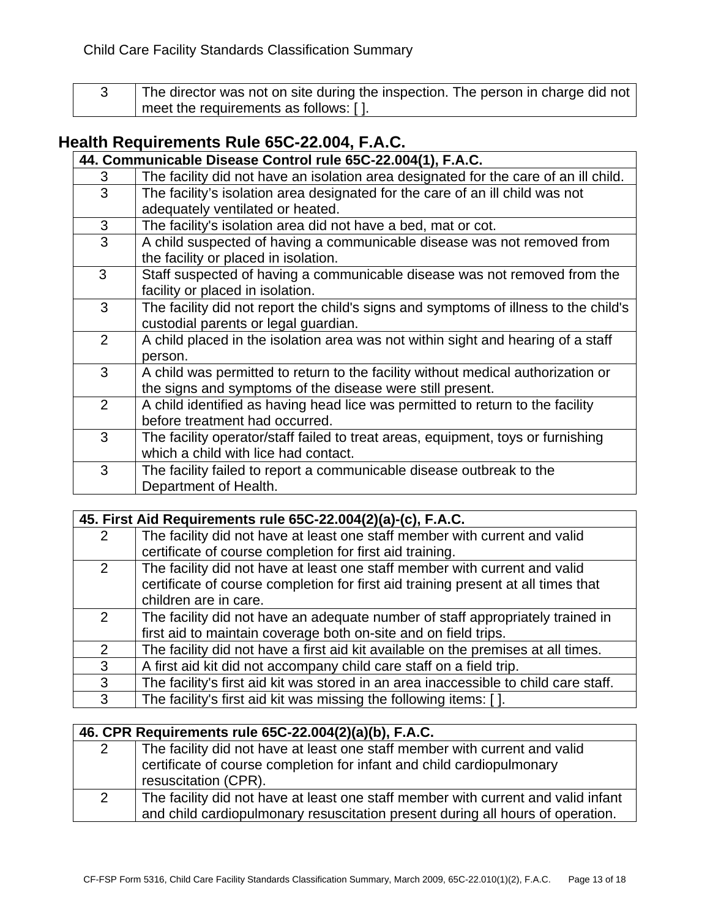| The director was not on site during the inspection. The person in charge did not |
|----------------------------------------------------------------------------------|
| meet the requirements as follows: [].                                            |

# **Health Requirements Rule 65C-22.004, F.A.C.**

| 44. Communicable Disease Control rule 65C-22.004(1), F.A.C. |                                                                                      |
|-------------------------------------------------------------|--------------------------------------------------------------------------------------|
| 3                                                           | The facility did not have an isolation area designated for the care of an ill child. |
| 3                                                           | The facility's isolation area designated for the care of an ill child was not        |
|                                                             | adequately ventilated or heated.                                                     |
| 3                                                           | The facility's isolation area did not have a bed, mat or cot.                        |
| 3                                                           | A child suspected of having a communicable disease was not removed from              |
|                                                             | the facility or placed in isolation.                                                 |
| 3                                                           | Staff suspected of having a communicable disease was not removed from the            |
|                                                             | facility or placed in isolation.                                                     |
| 3                                                           | The facility did not report the child's signs and symptoms of illness to the child's |
|                                                             | custodial parents or legal guardian.                                                 |
| 2                                                           | A child placed in the isolation area was not within sight and hearing of a staff     |
|                                                             | person.                                                                              |
| 3                                                           | A child was permitted to return to the facility without medical authorization or     |
|                                                             | the signs and symptoms of the disease were still present.                            |
| $\mathcal{P}$                                               | A child identified as having head lice was permitted to return to the facility       |
|                                                             | before treatment had occurred.                                                       |
| 3                                                           | The facility operator/staff failed to treat areas, equipment, toys or furnishing     |
|                                                             | which a child with lice had contact.                                                 |
| 3                                                           | The facility failed to report a communicable disease outbreak to the                 |
|                                                             | Department of Health.                                                                |

|   | 45. First Aid Requirements rule 65C-22.004(2)(a)-(c), F.A.C.                         |  |
|---|--------------------------------------------------------------------------------------|--|
| 2 | The facility did not have at least one staff member with current and valid           |  |
|   | certificate of course completion for first aid training.                             |  |
| 2 | The facility did not have at least one staff member with current and valid           |  |
|   | certificate of course completion for first aid training present at all times that    |  |
|   | children are in care.                                                                |  |
| 2 | The facility did not have an adequate number of staff appropriately trained in       |  |
|   | first aid to maintain coverage both on-site and on field trips.                      |  |
| 2 | The facility did not have a first aid kit available on the premises at all times.    |  |
| 3 | A first aid kit did not accompany child care staff on a field trip.                  |  |
| 3 | The facility's first aid kit was stored in an area inaccessible to child care staff. |  |
| 3 | The facility's first aid kit was missing the following items: [].                    |  |

| 46. CPR Requirements rule 65C-22.004(2)(a)(b), F.A.C. |                                                                                   |
|-------------------------------------------------------|-----------------------------------------------------------------------------------|
| 2                                                     | The facility did not have at least one staff member with current and valid        |
|                                                       | certificate of course completion for infant and child cardiopulmonary             |
|                                                       | resuscitation (CPR).                                                              |
| 2                                                     | The facility did not have at least one staff member with current and valid infant |
|                                                       | and child cardiopulmonary resuscitation present during all hours of operation.    |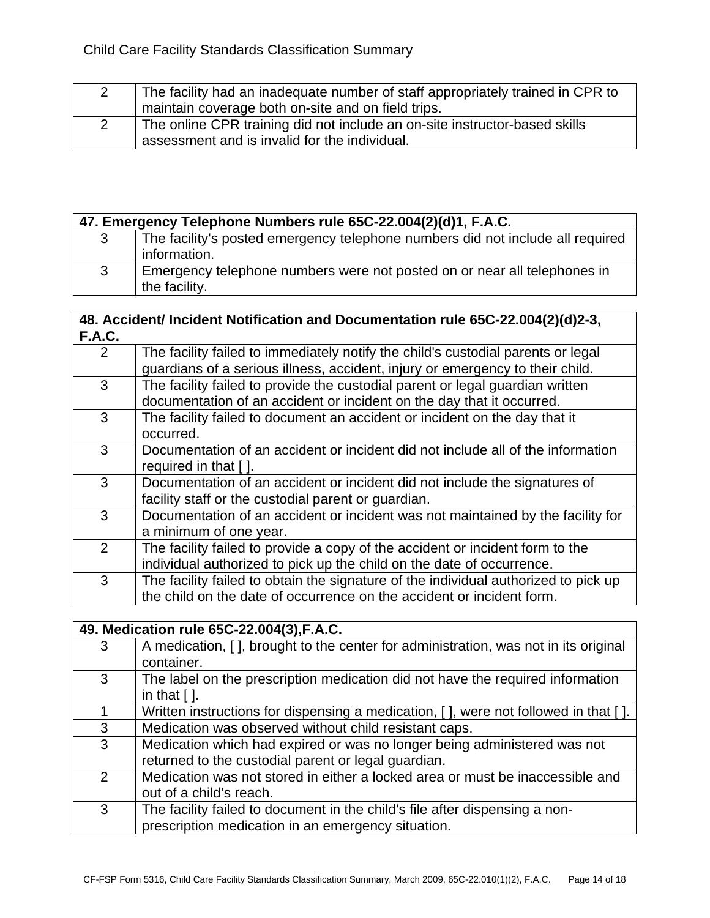| The facility had an inadequate number of staff appropriately trained in CPR to |
|--------------------------------------------------------------------------------|
| maintain coverage both on-site and on field trips.                             |
| The online CPR training did not include an on-site instructor-based skills     |
| assessment and is invalid for the individual.                                  |

|   | 47. Emergency Telephone Numbers rule 65C-22.004(2)(d)1, F.A.C. |                                                                                |
|---|----------------------------------------------------------------|--------------------------------------------------------------------------------|
| 3 |                                                                | The facility's posted emergency telephone numbers did not include all required |
|   |                                                                | information.                                                                   |
| 3 |                                                                | Emergency telephone numbers were not posted on or near all telephones in       |
|   |                                                                | the facility.                                                                  |

#### **48. Accident/ Incident Notification and Documentation rule 65C-22.004(2)(d)2-3, F.A.C.**

| …              |                                                                                     |
|----------------|-------------------------------------------------------------------------------------|
| $\overline{2}$ | The facility failed to immediately notify the child's custodial parents or legal    |
|                | guardians of a serious illness, accident, injury or emergency to their child.       |
| 3              | The facility failed to provide the custodial parent or legal guardian written       |
|                | documentation of an accident or incident on the day that it occurred.               |
| 3              | The facility failed to document an accident or incident on the day that it          |
|                | occurred.                                                                           |
| 3              | Documentation of an accident or incident did not include all of the information     |
|                | required in that [].                                                                |
| 3              | Documentation of an accident or incident did not include the signatures of          |
|                | facility staff or the custodial parent or guardian.                                 |
| 3              | Documentation of an accident or incident was not maintained by the facility for     |
|                | a minimum of one year.                                                              |
| $\mathcal{P}$  | The facility failed to provide a copy of the accident or incident form to the       |
|                | individual authorized to pick up the child on the date of occurrence.               |
| 3              | The facility failed to obtain the signature of the individual authorized to pick up |
|                | the child on the date of occurrence on the accident or incident form.               |

|               | 49. Medication rule 65C-22.004(3), F.A.C.                                           |
|---------------|-------------------------------------------------------------------------------------|
| 3             | A medication, [], brought to the center for administration, was not in its original |
|               | container.                                                                          |
| 3             | The label on the prescription medication did not have the required information      |
|               | in that $[$ $]$ .                                                                   |
|               | Written instructions for dispensing a medication, [], were not followed in that []. |
| 3             | Medication was observed without child resistant caps.                               |
| 3             | Medication which had expired or was no longer being administered was not            |
|               | returned to the custodial parent or legal guardian.                                 |
| $\mathcal{P}$ | Medication was not stored in either a locked area or must be inaccessible and       |
|               | out of a child's reach.                                                             |
| 3             | The facility failed to document in the child's file after dispensing a non-         |
|               | prescription medication in an emergency situation.                                  |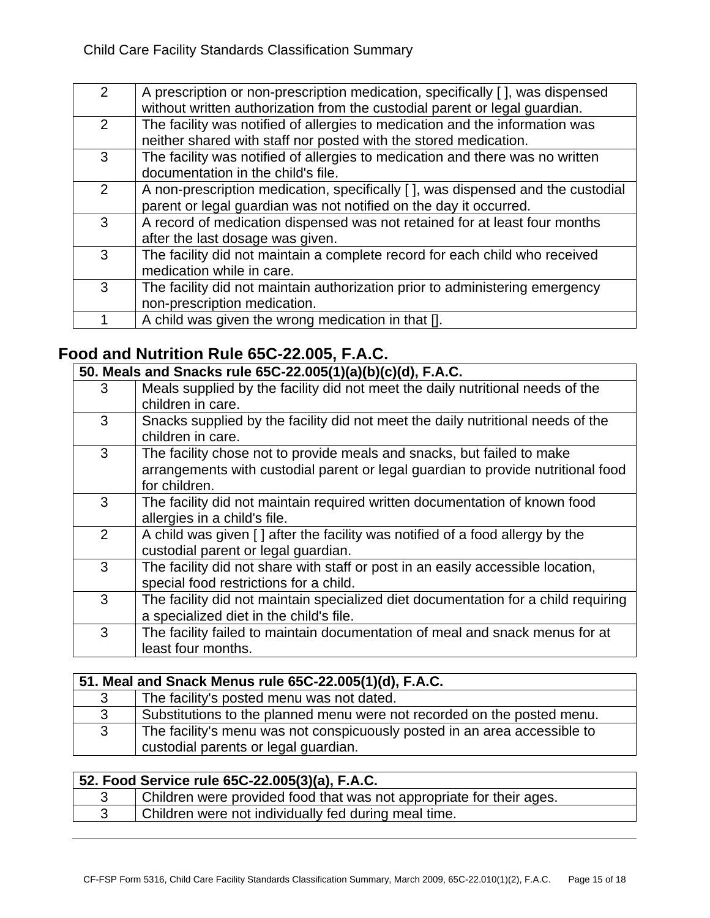| $\mathcal{P}$ | A prescription or non-prescription medication, specifically [], was dispensed    |
|---------------|----------------------------------------------------------------------------------|
|               |                                                                                  |
|               | without written authorization from the custodial parent or legal guardian.       |
| $\mathcal{P}$ | The facility was notified of allergies to medication and the information was     |
|               | neither shared with staff nor posted with the stored medication.                 |
| 3             | The facility was notified of allergies to medication and there was no written    |
|               |                                                                                  |
|               | documentation in the child's file.                                               |
| 2             | A non-prescription medication, specifically [ ], was dispensed and the custodial |
|               |                                                                                  |
|               | parent or legal guardian was not notified on the day it occurred.                |
| 3             | A record of medication dispensed was not retained for at least four months       |
|               | after the last dosage was given.                                                 |
|               |                                                                                  |
| 3             | The facility did not maintain a complete record for each child who received      |
|               | medication while in care.                                                        |
| 3             |                                                                                  |
|               | The facility did not maintain authorization prior to administering emergency     |
|               | non-prescription medication.                                                     |
|               | A child was given the wrong medication in that [].                               |
|               |                                                                                  |

# **Food and Nutrition Rule 65C-22.005, F.A.C.**

| 50. Meals and Snacks rule 65C-22.005(1)(a)(b)(c)(d), F.A.C. |                                                                                                                                                                             |
|-------------------------------------------------------------|-----------------------------------------------------------------------------------------------------------------------------------------------------------------------------|
| 3                                                           | Meals supplied by the facility did not meet the daily nutritional needs of the<br>children in care.                                                                         |
| 3                                                           | Snacks supplied by the facility did not meet the daily nutritional needs of the<br>children in care.                                                                        |
| 3                                                           | The facility chose not to provide meals and snacks, but failed to make<br>arrangements with custodial parent or legal guardian to provide nutritional food<br>for children. |
| 3                                                           | The facility did not maintain required written documentation of known food<br>allergies in a child's file.                                                                  |
| $\overline{2}$                                              | A child was given [ ] after the facility was notified of a food allergy by the<br>custodial parent or legal guardian.                                                       |
| 3                                                           | The facility did not share with staff or post in an easily accessible location,<br>special food restrictions for a child.                                                   |
| 3                                                           | The facility did not maintain specialized diet documentation for a child requiring<br>a specialized diet in the child's file.                                               |
| 3                                                           | The facility failed to maintain documentation of meal and snack menus for at<br>least four months.                                                                          |

| 51. Meal and Snack Menus rule 65C-22.005(1)(d), F.A.C. |                                                                                                                   |
|--------------------------------------------------------|-------------------------------------------------------------------------------------------------------------------|
| 3                                                      | The facility's posted menu was not dated.                                                                         |
| 3                                                      | Substitutions to the planned menu were not recorded on the posted menu.                                           |
| 3                                                      | The facility's menu was not conspicuously posted in an area accessible to<br>custodial parents or legal guardian. |

| 52. Food Service rule 65C-22.005(3)(a), F.A.C. |                                                                      |
|------------------------------------------------|----------------------------------------------------------------------|
|                                                | Children were provided food that was not appropriate for their ages. |
|                                                | Children were not individually fed during meal time.                 |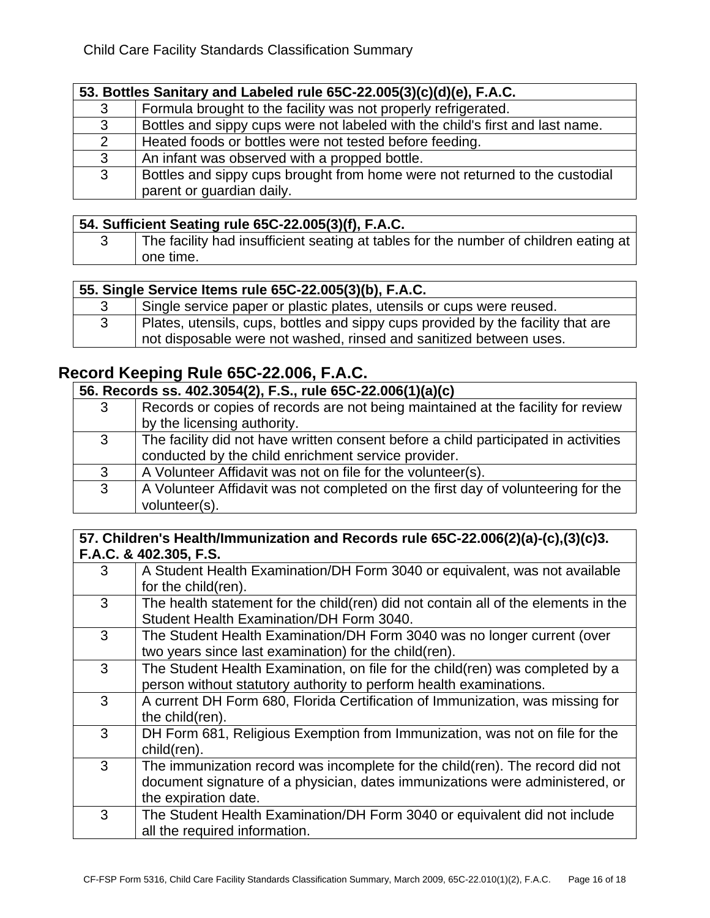## **53. Bottles Sanitary and Labeled rule 65C-22.005(3)(c)(d)(e), F.A.C.**

| 3 | Formula brought to the facility was not properly refrigerated.                |
|---|-------------------------------------------------------------------------------|
| 3 | Bottles and sippy cups were not labeled with the child's first and last name. |
| 2 | Heated foods or bottles were not tested before feeding.                       |
| 3 | An infant was observed with a propped bottle.                                 |
| 3 | Bottles and sippy cups brought from home were not returned to the custodial   |
|   | parent or guardian daily.                                                     |

#### **54. Sufficient Seating rule 65C-22.005(3)(f), F.A.C.**

| The facility had insufficient seating at tables for the number of children eating at |
|--------------------------------------------------------------------------------------|
| one time.                                                                            |

## **55. Single Service Items rule 65C-22.005(3)(b), F.A.C.**

| Single service paper or plastic plates, utensils or cups were reused.            |
|----------------------------------------------------------------------------------|
| Plates, utensils, cups, bottles and sippy cups provided by the facility that are |
| not disposable were not washed, rinsed and sanitized between uses.               |

# **Record Keeping Rule 65C-22.006, F.A.C.**

| 56. Records ss. 402.3054(2), F.S., rule 65C-22.006(1)(a)(c) |                                                                                     |
|-------------------------------------------------------------|-------------------------------------------------------------------------------------|
| 3                                                           | Records or copies of records are not being maintained at the facility for review    |
|                                                             | by the licensing authority.                                                         |
| 3                                                           | The facility did not have written consent before a child participated in activities |
|                                                             | conducted by the child enrichment service provider.                                 |
| 3                                                           | A Volunteer Affidavit was not on file for the volunteer(s).                         |
| 3                                                           | A Volunteer Affidavit was not completed on the first day of volunteering for the    |
|                                                             | volunteer(s).                                                                       |

#### **57. Children's Health/Immunization and Records rule 65C-22.006(2)(a)-(c),(3)(c)3. F.A.C. & 402.305, F.S.**

| 3 | A Student Health Examination/DH Form 3040 or equivalent, was not available         |
|---|------------------------------------------------------------------------------------|
|   | for the child(ren).                                                                |
| 3 | The health statement for the child(ren) did not contain all of the elements in the |
|   | Student Health Examination/DH Form 3040.                                           |
| 3 | The Student Health Examination/DH Form 3040 was no longer current (over            |
|   | two years since last examination) for the child(ren).                              |
| 3 | The Student Health Examination, on file for the child(ren) was completed by a      |
|   | person without statutory authority to perform health examinations.                 |
| 3 | A current DH Form 680, Florida Certification of Immunization, was missing for      |
|   | the child(ren).                                                                    |
| 3 | DH Form 681, Religious Exemption from Immunization, was not on file for the        |
|   | child(ren).                                                                        |
| 3 | The immunization record was incomplete for the child(ren). The record did not      |
|   | document signature of a physician, dates immunizations were administered, or       |
|   | the expiration date.                                                               |
| 3 | The Student Health Examination/DH Form 3040 or equivalent did not include          |
|   | all the required information.                                                      |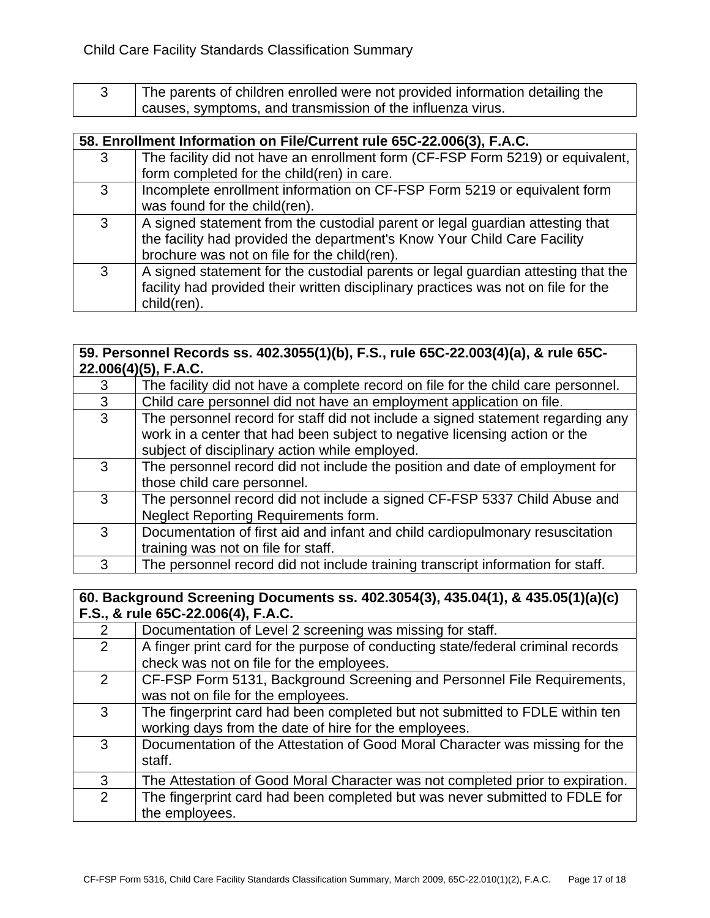3 The parents of children enrolled were not provided information detailing the causes, symptoms, and transmission of the influenza virus.

|   | 58. Enrollment Information on File/Current rule 65C-22.006(3), F.A.C.              |  |
|---|------------------------------------------------------------------------------------|--|
| 3 | The facility did not have an enrollment form (CF-FSP Form 5219) or equivalent,     |  |
|   | form completed for the child(ren) in care.                                         |  |
| 3 | Incomplete enrollment information on CF-FSP Form 5219 or equivalent form           |  |
|   | was found for the child(ren).                                                      |  |
| 3 | A signed statement from the custodial parent or legal guardian attesting that      |  |
|   | the facility had provided the department's Know Your Child Care Facility           |  |
|   | brochure was not on file for the child(ren).                                       |  |
| 3 | A signed statement for the custodial parents or legal guardian attesting that the  |  |
|   | facility had provided their written disciplinary practices was not on file for the |  |
|   | child(ren).                                                                        |  |

#### **59. Personnel Records ss. 402.3055(1)(b), F.S., rule 65C-22.003(4)(a), & rule 65C-22.006(4)(5), F.A.C.**

| 3 | The facility did not have a complete record on file for the child care personnel. |
|---|-----------------------------------------------------------------------------------|
| 3 | Child care personnel did not have an employment application on file.              |
| 3 | The personnel record for staff did not include a signed statement regarding any   |
|   | work in a center that had been subject to negative licensing action or the        |
|   | subject of disciplinary action while employed.                                    |
| 3 | The personnel record did not include the position and date of employment for      |
|   | those child care personnel.                                                       |
| 3 | The personnel record did not include a signed CF-FSP 5337 Child Abuse and         |
|   | Neglect Reporting Requirements form.                                              |
| 3 | Documentation of first aid and infant and child cardiopulmonary resuscitation     |
|   | training was not on file for staff.                                               |
| 3 | The personnel record did not include training transcript information for staff.   |

#### **60. Background Screening Documents ss. 402.3054(3), 435.04(1), & 435.05(1)(a)(c) F.S., & rule 65C-22.006(4), F.A.C.**

| 2              | Documentation of Level 2 screening was missing for staff.                        |
|----------------|----------------------------------------------------------------------------------|
| 2              | A finger print card for the purpose of conducting state/federal criminal records |
|                | check was not on file for the employees.                                         |
| $\overline{2}$ | CF-FSP Form 5131, Background Screening and Personnel File Requirements,          |
|                | was not on file for the employees.                                               |
| 3              | The fingerprint card had been completed but not submitted to FDLE within ten     |
|                | working days from the date of hire for the employees.                            |
| 3              | Documentation of the Attestation of Good Moral Character was missing for the     |
|                | staff.                                                                           |
| 3              | The Attestation of Good Moral Character was not completed prior to expiration.   |
| 2              | The fingerprint card had been completed but was never submitted to FDLE for      |
|                | the employees.                                                                   |